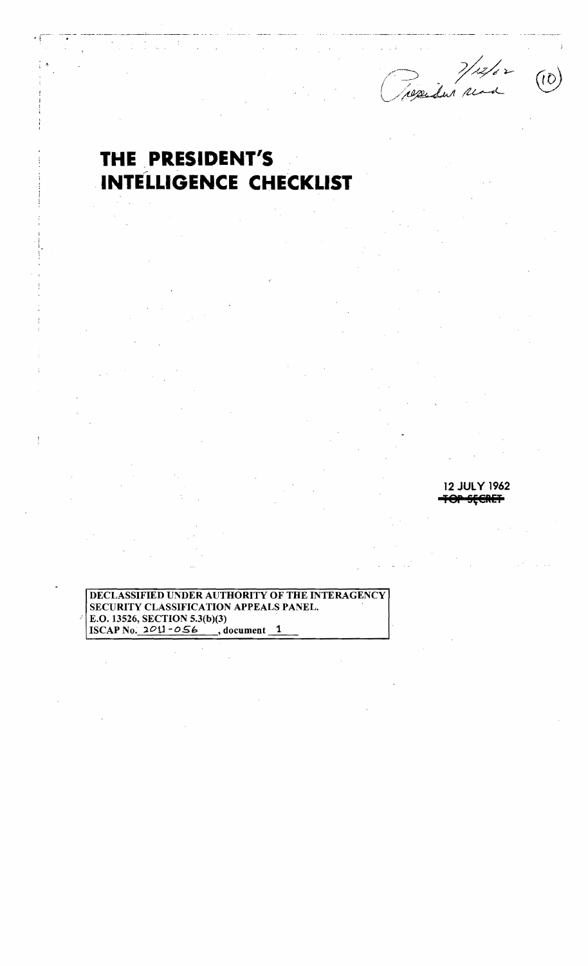mar 1/12/02  $(10)$ 

## THE PRESIDENT'S **INTELLIGENCE CHECKLIST**

ļ

DECLASSIFIED UNDER AUTHORITY OF THE INTERAGENCY SECURITY CLASSIFICATION APPEALS PANEL. E.O. 13526, SECTION 5.3(b)(3)<br>ISCAP No. 2011-056 document 1

12 JULY 1962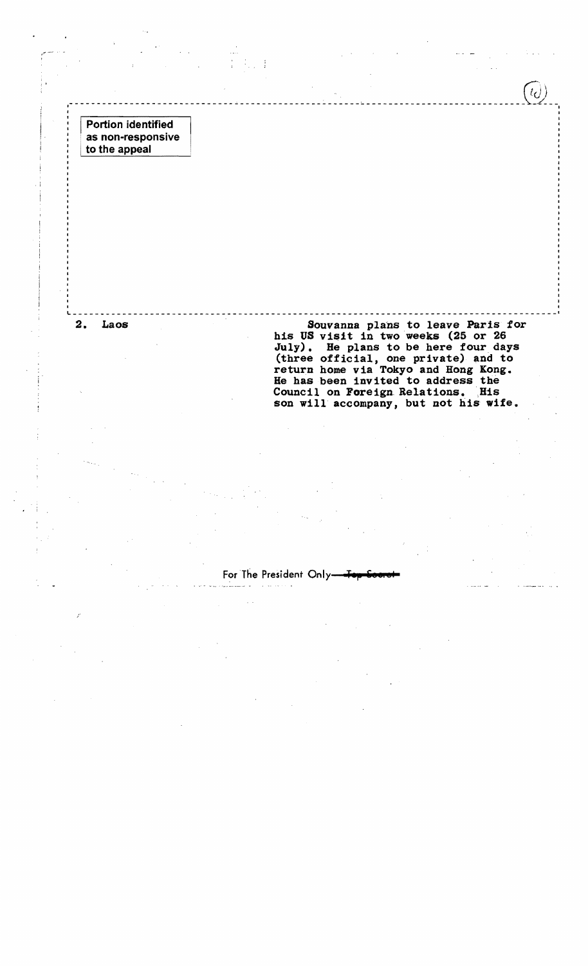Portion identified as non-responsive to the appeal

I

. I

2. Laos **Bouvanna plans to leave Paris for** his US visit in two weeks (25 or 26 July). Be plans to be here four days (three official, one private) and to return home via Tokyo and Hong Kong. He has been invited to address the Council on Foreign Relations. His son will accompany, but not his wife.

I

For The President Only-

, . . (; \

• ------------------------------------------------~----~----------------------------\_\!~!-

L I  $\mathcal{L}_\mathbf{u}$  and the contribution of the contribution of the contribution of the contribution of the contribution of the contribution of the contribution of the contribution of the contribution of the contribution o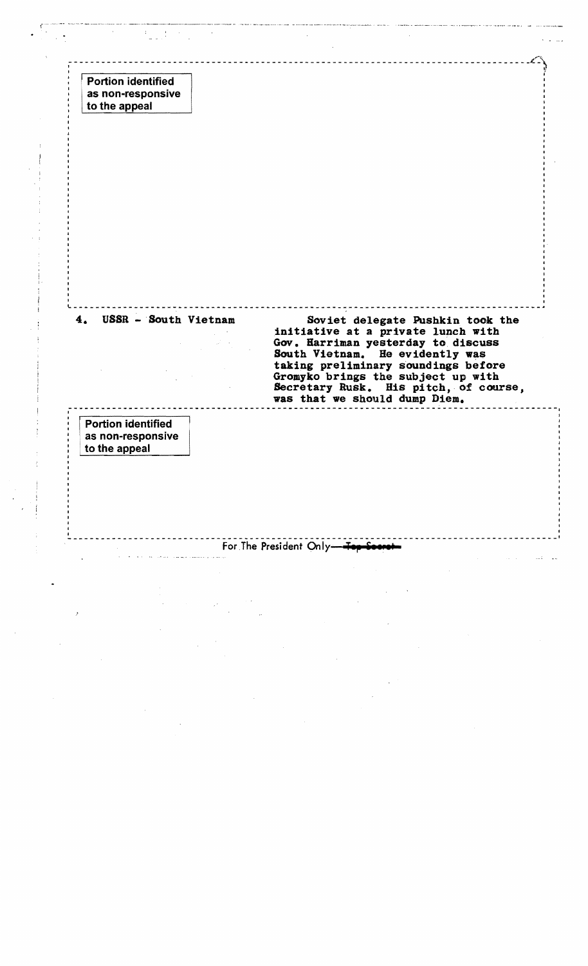L~~ , where the contract of the contract of  $\left\{ \begin{array}{c} 0 \end{array} \right\}$ Portion identified I . as non-responsive to the appeal L, and the contribution of the contribution of the contribution of the contribution of the contribution of the contribution of the contribution of the contribution of the contribution of the contribution of the contributi  $\mathcal{L}^{\mathcal{L}}(\mathcal{L}^{\mathcal{L}}) = \mathcal{L}^{\mathcal{L}}(\mathcal{L}^{\mathcal{L}}) = \mathcal{L}^{\mathcal{L}}(\mathcal{L}^{\mathcal{L}}) = \mathcal{L}^{\mathcal{L}}(\mathcal{L}^{\mathcal{L}}) = \mathcal{L}^{\mathcal{L}}(\mathcal{L}^{\mathcal{L}}) = \mathcal{L}^{\mathcal{L}}(\mathcal{L}^{\mathcal{L}}) = \mathcal{L}^{\mathcal{L}}(\mathcal{L}^{\mathcal{L}}) = \mathcal{L}^{\mathcal{L}}(\mathcal{L}^{\mathcal{$ 4. USSR - South Vietnam Soviet delegate Pushkin took the initiative at a private lunch with Gov. Harriman yesterday to discuss South Vietnam. He evidently was taking preliminary soundings before Gromyko brings the subject up with Secretary Rusk. His pitch,of course, was that we should dump Diem. I ---------------------------.---~---------------------------------------------------------, Portion identified I I as non-responsive to the appeal <sup>I</sup>~ \_\_\_\_\_\_\_\_\_\_\_\_\_\_\_\_\_\_\_\_\_\_\_\_\_\_\_\_\_\_\_\_\_\_\_\_\_\_\_\_\_\_\_\_\_\_\_\_\_\_\_\_\_ ----------------------------- \_\_\_\_\_\_ 1 For The President Only-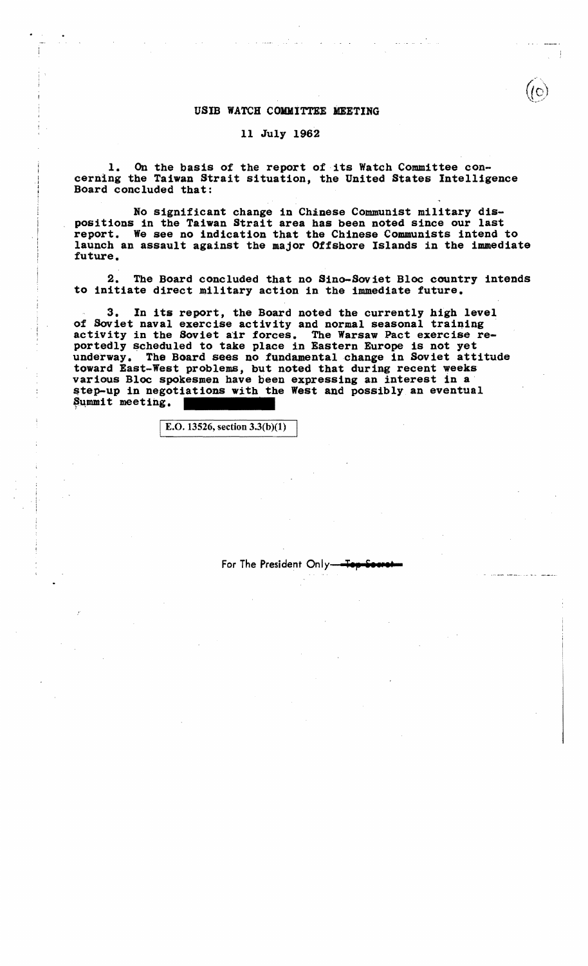## USIB WATCH COMMITTEE MEETING

## 11 July 1962

1. On the basis of the report of its Watch Committee concerning the Taiwan Strait situation, the United States Intelligence Board concluded that:

No significant change in Chinese Communist military dispositions in the Taiwan Strait area has been noted since our last report. We see no indication that the Chinese Communists intend to launch an assault against the major Offshore Islands in the immediate future.

2. The Board concluded that no Sino-Soviet Bloc country intends to initiate direct military action in the immediate future.

3. In its report, the Board noted the currently high level of Soviet naval exercise activity and normal seasonal training activity in the Soviet air forces. The Warsaw Pact exercise re-<br>portedly scheduled to take place in Eastern Europe is not yet underway. The Board sees no fundamental change in Soviet attitude toward East-West problems, but noted that during recent weeks various Bloc spokesmen have been expressing an interest in a step-up in negotiations with the West and possibly an eventual Summit meeting.

E.O. 13526, section  $3.3(b)(1)$ 

l . l

For The President Only-